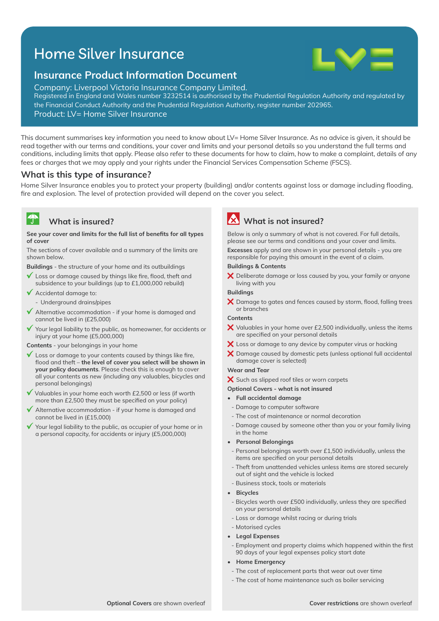# Home Silver Insurance



# **Insurance Product Information Document**

Company: Liverpool Victoria Insurance Company Limited. Registered in England and Wales number 3232514 is authorised by the Prudential Regulation Authority and regulated by the Financial Conduct Authority and the Prudential Regulation Authority, register number 202965.

Product: LV= Home Silver Insurance

This document summarises key information you need to know about LV= Home Silver Insurance. As no advice is given, it should be read together with our terms and conditions, your cover and limits and your personal details so you understand the full terms and conditions, including limits that apply. Please also refer to these documents for how to claim, how to make a complaint, details of any fees or charges that we may apply and your rights under the Financial Services Compensation Scheme (FSCS).

### **What is this type of insurance?**

Home Silver Insurance enables you to protect your property (building) and/or contents against loss or damage including flooding, fire and explosion. The level of protection provided will depend on the cover you select.

### **What is insured?**

 $\mathbf{A}$ 

#### See your cover and limits for the full list of benefits for all types **of cover**

The sections of cover available and a summary of the limits are shown below.

**Buildings** - the structure of your home and its outbuildings

- $\mathbf{v}$ Loss or damage caused by things like fire, flood, theft and subsidence to your buildings (up to £1,000,000 rebuild)
- Accidental damage to:
	- Underground drains/pipes
- $\sqrt{\phantom{a}}$  Alternative accommodation if your home is damaged and cannot be lived in (£25,000)
- Your legal liability to the public, as homeowner, for accidents or injury at your home (£5,000,000)

**Contents** - your belongings in your home

- $\checkmark$  Loss or damage to your contents caused by things like fire, flood and theft – the level of cover you select will be shown in **your policy documents**. Please check this is enough to cover all your contents as new (including any valuables, bicycles and personal belongings)
- $\checkmark$  Valuables in your home each worth £2,500 or less (if worth more than £2,500 they must be specified on your policy)
- $\blacktriangledown$  Alternative accommodation if your home is damaged and cannot be lived in (£15,000)
- Your legal liability to the public, as occupier of your home or in a personal capacity, for accidents or injury (£5,000,000)

# **What is not insured?**

Below is only a summary of what is not covered. For full details, please see our terms and conditions and your cover and limits.

**Excesses** apply and are shown in your personal details - you are responsible for paying this amount in the event of a claim.

#### **Buildings & Contents**

 $\bm{\times}$  Deliberate damage or loss caused by you, your family or anyone living with you

#### **Buildings**

 $\bm{\times}$  Damage to gates and fences caused by storm, flood, falling trees or branches

#### **Contents**

- $\bm{\times}$  Valuables in your home over £2,500 individually, unless the items are specified on your personal details
- X Loss or damage to any device by computer virus or hacking
- $\boldsymbol{\times}$  Damage caused by domestic pets (unless optional full accidental damage cover is selected)

#### **Wear and Tear**

- X Such as slipped roof tiles or worn carpets
- **Optional Covers what is not insured**
- **Full accidental damage**
- Damage to computer software
- The cost of maintenance or normal decoration
- Damage caused by someone other than you or your family living in the home
- **Personal Belongings**
- Personal belongings worth over £1,500 individually, unless the items are specified on your personal details
- Theft from unattended vehicles unless items are stored securely out of sight and the vehicle is locked
- Business stock, tools or materials
- **Bicycles**
- Bicycles worth over £500 individually, unless they are specified on your personal details
- Loss or damage whilst racing or during trials
- Motorised cycles
- **Legal Expenses**
- Employment and property claims which happened within the first 90 days of your legal expenses policy start date
- **Home Emergency**
	- The cost of replacement parts that wear out over time
	- The cost of home maintenance such as boiler servicing